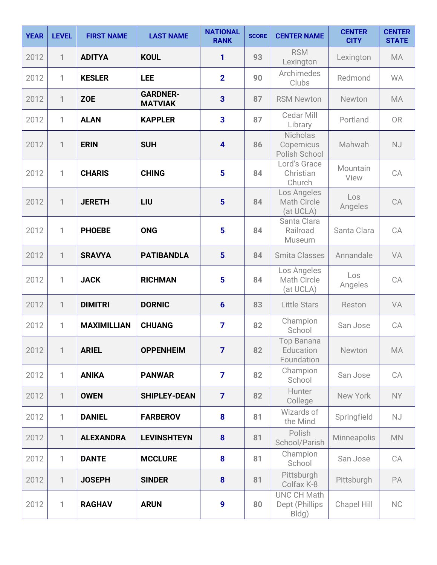| <b>YEAR</b> | <b>LEVEL</b> | <b>FIRST NAME</b>  | <b>LAST NAME</b>                  | <b>NATIONAL</b><br><b>RANK</b> | <b>SCORE</b> | <b>CENTER NAME</b>                            | <b>CENTER</b><br><b>CITY</b> | <b>CENTER</b><br><b>STATE</b> |
|-------------|--------------|--------------------|-----------------------------------|--------------------------------|--------------|-----------------------------------------------|------------------------------|-------------------------------|
| 2012        | 1            | <b>ADITYA</b>      | <b>KOUL</b>                       | 1                              | 93           | <b>RSM</b><br>Lexington                       | Lexington                    | <b>MA</b>                     |
| 2012        | 1            | <b>KESLER</b>      | LEE                               | $\overline{2}$                 | 90           | Archimedes<br>Clubs                           | Redmond                      | <b>WA</b>                     |
| 2012        | $\mathbf{1}$ | <b>ZOE</b>         | <b>GARDNER-</b><br><b>MATVIAK</b> | $\overline{\mathbf{3}}$        | 87           | <b>RSM Newton</b>                             | Newton                       | <b>MA</b>                     |
| 2012        | 1            | <b>ALAN</b>        | <b>KAPPLER</b>                    | 3                              | 87           | Cedar Mill<br>Library                         | Portland                     | OR                            |
| 2012        | $\mathbf{1}$ | <b>ERIN</b>        | <b>SUH</b>                        | $\overline{\mathbf{4}}$        | 86           | Nicholas<br>Copernicus<br>Polish School       | Mahwah                       | <b>NJ</b>                     |
| 2012        | $\mathbf{1}$ | <b>CHARIS</b>      | <b>CHING</b>                      | 5                              | 84           | Lord's Grace<br>Christian<br>Church           | Mountain<br>View             | CA                            |
| 2012        | 1            | <b>JERETH</b>      | LIU                               | 5                              | 84           | Los Angeles<br>Math Circle<br>(at UCLA)       | Los<br>Angeles               | CA                            |
| 2012        | $\mathbf{1}$ | <b>PHOEBE</b>      | <b>ONG</b>                        | $5\phantom{.0}$                | 84           | Santa Clara<br>Railroad<br>Museum             | Santa Clara                  | CA                            |
| 2012        | $\mathbf{1}$ | <b>SRAVYA</b>      | <b>PATIBANDLA</b>                 | $5\phantom{1}$                 | 84           | <b>Smita Classes</b>                          | Annandale                    | VA                            |
| 2012        | 1            | <b>JACK</b>        | <b>RICHMAN</b>                    | $5\phantom{.0}$                | 84           | Los Angeles<br>Math Circle<br>(at UCLA)       | Los<br>Angeles               | CA                            |
| 2012        | $\mathbf{1}$ | <b>DIMITRI</b>     | <b>DORNIC</b>                     | $6\phantom{1}$                 | 83           | <b>Little Stars</b>                           | Reston                       | VA                            |
| 2012        | 1            | <b>MAXIMILLIAN</b> | <b>CHUANG</b>                     | $\overline{7}$                 | 82           | Champion<br>School                            | San Jose                     | CA                            |
| 2012        | 1            | <b>ARIEL</b>       | <b>OPPENHEIM</b>                  | $\overline{7}$                 | 82           | Top Banana<br>Education<br>Foundation         | Newton                       | MA                            |
| 2012        | 1            | <b>ANIKA</b>       | <b>PANWAR</b>                     | $\overline{7}$                 | 82           | Champion<br>School                            | San Jose                     | CA                            |
| 2012        | $\mathbf{1}$ | <b>OWEN</b>        | <b>SHIPLEY-DEAN</b>               | $\overline{7}$                 | 82           | Hunter<br>College                             | New York                     | NY                            |
| 2012        | 1            | <b>DANIEL</b>      | <b>FARBEROV</b>                   | 8                              | 81           | Wizards of<br>the Mind                        | Springfield                  | <b>NJ</b>                     |
| 2012        | $\mathbf{1}$ | <b>ALEXANDRA</b>   | <b>LEVINSHTEYN</b>                | 8                              | 81           | Polish<br>School/Parish                       | Minneapolis                  | <b>MN</b>                     |
| 2012        | 1            | <b>DANTE</b>       | <b>MCCLURE</b>                    | 8                              | 81           | Champion<br>School                            | San Jose                     | CA                            |
| 2012        | $\mathbf{1}$ | <b>JOSEPH</b>      | <b>SINDER</b>                     | 8                              | 81           | Pittsburgh<br>Colfax K-8                      | Pittsburgh                   | PA                            |
| 2012        | 1            | <b>RAGHAV</b>      | <b>ARUN</b>                       | 9                              | 80           | <b>UNC CH Math</b><br>Dept (Phillips<br>Bldg) | <b>Chapel Hill</b>           | NC                            |